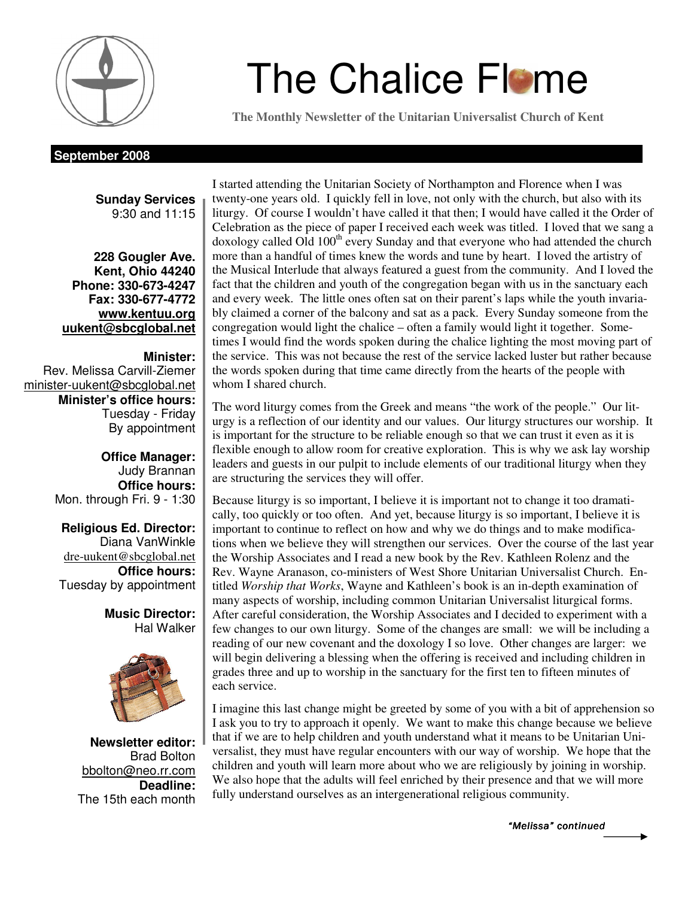

# **The Chalice Flame**

**The Monthly Newsletter of the Unitarian Universalist Church of Kent** 

#### **September 2008**

**Sunday Services**  9:30 and 11:15

**228 Gougler Ave. Kent, Ohio 44240 Phone: 330-673-4247 Fax: 330-677-4772 www.kentuu.org uukent@sbcglobal.net**

#### **Minister:**

Rev. Melissa Carvill-Ziemer minister-uukent@sbcglobal.net **Minister's office hours:**  Tuesday - Friday By appointment

> **Office Manager:** Judy Brannan **Office hours:** Mon. through Fri. 9 - 1:30

**Religious Ed. Director:**  Diana VanWinkle dre-uukent@sbcglobal.net **Office hours:**  Tuesday by appointment

> **Music Director:**  Hal Walker



**Newsletter editor:**  Brad Bolton bbolton@neo.rr.com **Deadline:**  The 15th each month

I started attending the Unitarian Society of Northampton and Florence when I was twenty-one years old. I quickly fell in love, not only with the church, but also with its liturgy. Of course I wouldn't have called it that then; I would have called it the Order of Celebration as the piece of paper I received each week was titled. I loved that we sang a  $doxology$  called Old  $100<sup>th</sup>$  every Sunday and that everyone who had attended the church more than a handful of times knew the words and tune by heart. I loved the artistry of the Musical Interlude that always featured a guest from the community. And I loved the fact that the children and youth of the congregation began with us in the sanctuary each and every week. The little ones often sat on their parent's laps while the youth invariably claimed a corner of the balcony and sat as a pack. Every Sunday someone from the congregation would light the chalice – often a family would light it together. Sometimes I would find the words spoken during the chalice lighting the most moving part of the service. This was not because the rest of the service lacked luster but rather because the words spoken during that time came directly from the hearts of the people with whom I shared church.

The word liturgy comes from the Greek and means "the work of the people." Our liturgy is a reflection of our identity and our values. Our liturgy structures our worship. It is important for the structure to be reliable enough so that we can trust it even as it is flexible enough to allow room for creative exploration. This is why we ask lay worship leaders and guests in our pulpit to include elements of our traditional liturgy when they are structuring the services they will offer.

Because liturgy is so important, I believe it is important not to change it too dramatically, too quickly or too often. And yet, because liturgy is so important, I believe it is important to continue to reflect on how and why we do things and to make modifications when we believe they will strengthen our services. Over the course of the last year the Worship Associates and I read a new book by the Rev. Kathleen Rolenz and the Rev. Wayne Aranason, co-ministers of West Shore Unitarian Universalist Church. Entitled *Worship that Works*, Wayne and Kathleen's book is an in-depth examination of many aspects of worship, including common Unitarian Universalist liturgical forms. After careful consideration, the Worship Associates and I decided to experiment with a few changes to our own liturgy. Some of the changes are small: we will be including a reading of our new covenant and the doxology I so love. Other changes are larger: we will begin delivering a blessing when the offering is received and including children in grades three and up to worship in the sanctuary for the first ten to fifteen minutes of each service.

I imagine this last change might be greeted by some of you with a bit of apprehension so I ask you to try to approach it openly. We want to make this change because we believe that if we are to help children and youth understand what it means to be Unitarian Universalist, they must have regular encounters with our way of worship. We hope that the children and youth will learn more about who we are religiously by joining in worship. We also hope that the adults will feel enriched by their presence and that we will more fully understand ourselves as an intergenerational religious community.

"Melissa" continued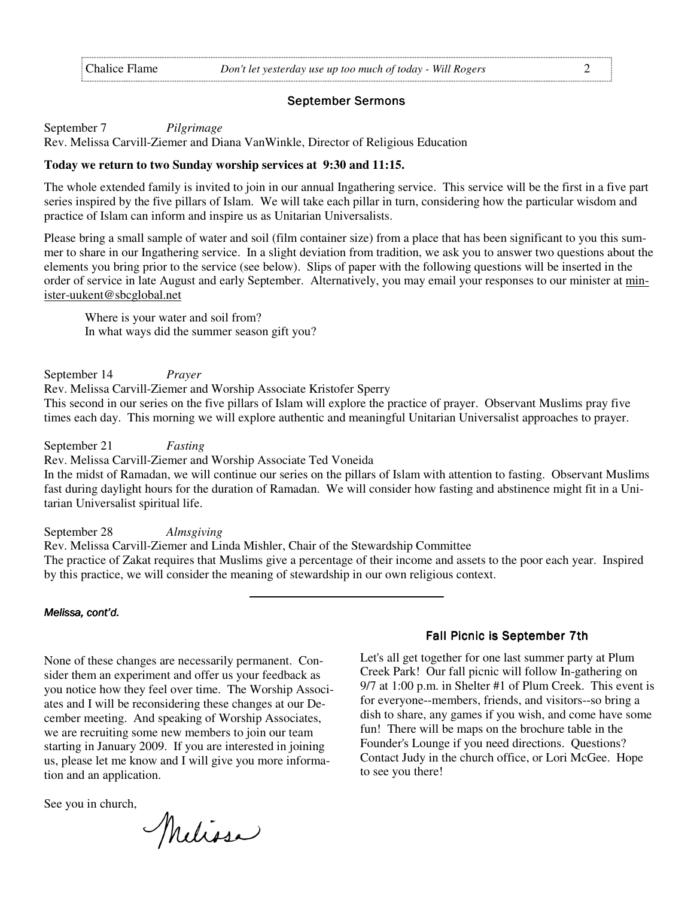#### September Sermons

September 7 *Pilgrimage* 

Rev. Melissa Carvill-Ziemer and Diana VanWinkle, Director of Religious Education

#### **Today we return to two Sunday worship services at 9:30 and 11:15.**

The whole extended family is invited to join in our annual Ingathering service. This service will be the first in a five part series inspired by the five pillars of Islam. We will take each pillar in turn, considering how the particular wisdom and practice of Islam can inform and inspire us as Unitarian Universalists.

Please bring a small sample of water and soil (film container size) from a place that has been significant to you this summer to share in our Ingathering service. In a slight deviation from tradition, we ask you to answer two questions about the elements you bring prior to the service (see below). Slips of paper with the following questions will be inserted in the order of service in late August and early September. Alternatively, you may email your responses to our minister at minister-uukent@sbcglobal.net

 Where is your water and soil from? In what ways did the summer season gift you?

September 14 *Prayer* Rev. Melissa Carvill-Ziemer and Worship Associate Kristofer Sperry This second in our series on the five pillars of Islam will explore the practice of prayer. Observant Muslims pray five times each day. This morning we will explore authentic and meaningful Unitarian Universalist approaches to prayer.

September 21 *Fasting*

Rev. Melissa Carvill-Ziemer and Worship Associate Ted Voneida

In the midst of Ramadan, we will continue our series on the pillars of Islam with attention to fasting. Observant Muslims fast during daylight hours for the duration of Ramadan. We will consider how fasting and abstinence might fit in a Unitarian Universalist spiritual life.

September 28 *Almsgiving* 

Rev. Melissa Carvill-Ziemer and Linda Mishler, Chair of the Stewardship Committee The practice of Zakat requires that Muslims give a percentage of their income and assets to the poor each year. Inspired by this practice, we will consider the meaning of stewardship in our own religious context.

Melissa, cont'd.

None of these changes are necessarily permanent. Consider them an experiment and offer us your feedback as you notice how they feel over time. The Worship Associates and I will be reconsidering these changes at our December meeting. And speaking of Worship Associates, we are recruiting some new members to join our team starting in January 2009. If you are interested in joining us, please let me know and I will give you more information and an application.

See you in church,

Melissa

#### Fall Picnic is September 7th

Let's all get together for one last summer party at Plum Creek Park! Our fall picnic will follow In-gathering on 9/7 at 1:00 p.m. in Shelter #1 of Plum Creek. This event is for everyone--members, friends, and visitors--so bring a dish to share, any games if you wish, and come have some fun! There will be maps on the brochure table in the Founder's Lounge if you need directions. Questions? Contact Judy in the church office, or Lori McGee. Hope to see you there!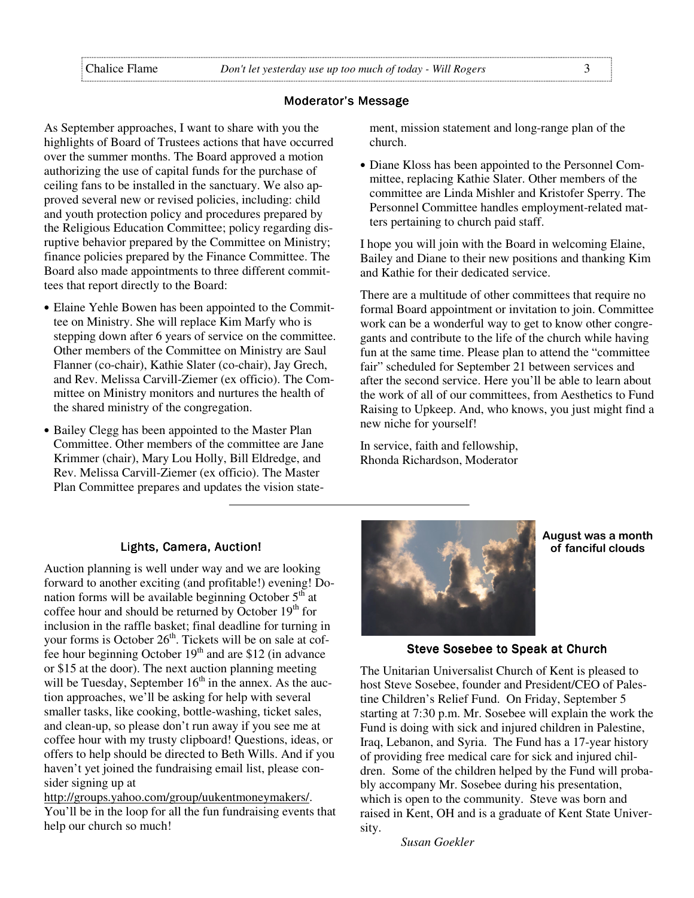#### Moderator's Message

As September approaches, I want to share with you the highlights of Board of Trustees actions that have occurred over the summer months. The Board approved a motion authorizing the use of capital funds for the purchase of ceiling fans to be installed in the sanctuary. We also approved several new or revised policies, including: child and youth protection policy and procedures prepared by the Religious Education Committee; policy regarding disruptive behavior prepared by the Committee on Ministry; finance policies prepared by the Finance Committee. The Board also made appointments to three different committees that report directly to the Board:

- Elaine Yehle Bowen has been appointed to the Committee on Ministry. She will replace Kim Marfy who is stepping down after 6 years of service on the committee. Other members of the Committee on Ministry are Saul Flanner (co-chair), Kathie Slater (co-chair), Jay Grech, and Rev. Melissa Carvill-Ziemer (ex officio). The Committee on Ministry monitors and nurtures the health of the shared ministry of the congregation.
- Bailey Clegg has been appointed to the Master Plan Committee. Other members of the committee are Jane Krimmer (chair), Mary Lou Holly, Bill Eldredge, and Rev. Melissa Carvill-Ziemer (ex officio). The Master Plan Committee prepares and updates the vision state-

ment, mission statement and long-range plan of the church.

• Diane Kloss has been appointed to the Personnel Committee, replacing Kathie Slater. Other members of the committee are Linda Mishler and Kristofer Sperry. The Personnel Committee handles employment-related matters pertaining to church paid staff.

I hope you will join with the Board in welcoming Elaine, Bailey and Diane to their new positions and thanking Kim and Kathie for their dedicated service.

There are a multitude of other committees that require no formal Board appointment or invitation to join. Committee work can be a wonderful way to get to know other congregants and contribute to the life of the church while having fun at the same time. Please plan to attend the "committee fair" scheduled for September 21 between services and after the second service. Here you'll be able to learn about the work of all of our committees, from Aesthetics to Fund Raising to Upkeep. And, who knows, you just might find a new niche for yourself!

In service, faith and fellowship, Rhonda Richardson, Moderator

#### Lights, Camera, Auction!

Auction planning is well under way and we are looking forward to another exciting (and profitable!) evening! Donation forms will be available beginning October  $5<sup>th</sup>$  at coffee hour and should be returned by October  $19<sup>th</sup>$  for inclusion in the raffle basket; final deadline for turning in your forms is October 26<sup>th</sup>. Tickets will be on sale at cof- $\frac{5}{2}$  fee hour beginning October 19<sup>th</sup> and are \$12 (in advance or \$15 at the door). The next auction planning meeting will be Tuesday, September  $16<sup>th</sup>$  in the annex. As the auction approaches, we'll be asking for help with several smaller tasks, like cooking, bottle-washing, ticket sales, and clean-up, so please don't run away if you see me at coffee hour with my trusty clipboard! Questions, ideas, or offers to help should be directed to Beth Wills. And if you haven't yet joined the fundraising email list, please consider signing up at

http://groups.yahoo.com/group/uukentmoneymakers/. You'll be in the loop for all the fun fundraising events that help our church so much!



August was a month of fanciful clouds

#### Steve Sosebee to Speak at Church

The Unitarian Universalist Church of Kent is pleased to host Steve Sosebee, founder and President/CEO of Palestine Children's Relief Fund. On Friday, September 5 starting at 7:30 p.m. Mr. Sosebee will explain the work the Fund is doing with sick and injured children in Palestine, Iraq, Lebanon, and Syria. The Fund has a 17-year history of providing free medical care for sick and injured children. Some of the children helped by the Fund will probably accompany Mr. Sosebee during his presentation, which is open to the community. Steve was born and raised in Kent, OH and is a graduate of Kent State University.

*Susan Goekler*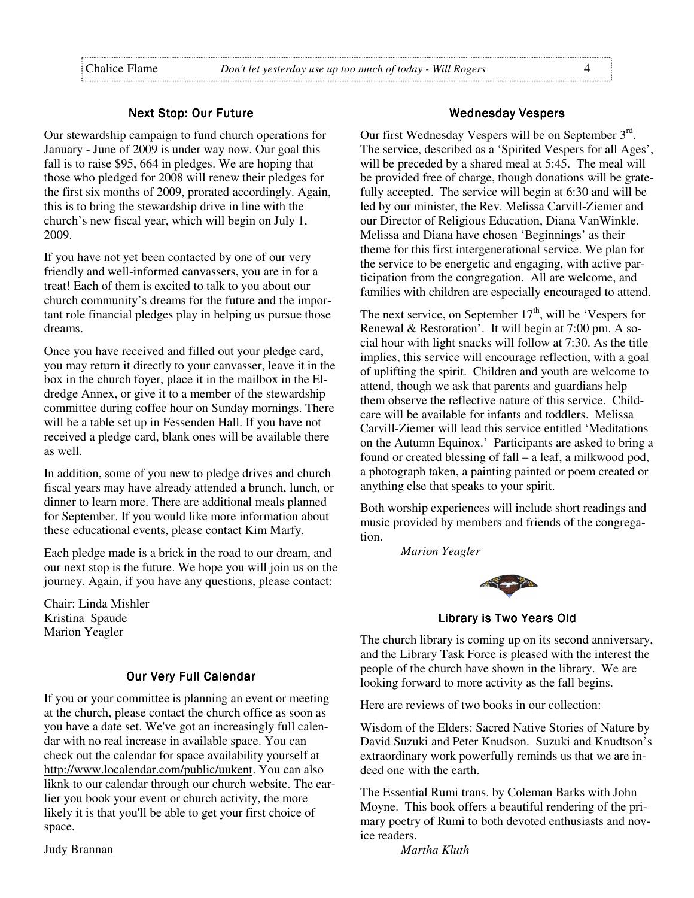#### Next Stop: Our Future

Our stewardship campaign to fund church operations for January - June of 2009 is under way now. Our goal this fall is to raise \$95, 664 in pledges. We are hoping that those who pledged for 2008 will renew their pledges for the first six months of 2009, prorated accordingly. Again, this is to bring the stewardship drive in line with the church's new fiscal year, which will begin on July 1, 2009.

If you have not yet been contacted by one of our very friendly and well-informed canvassers, you are in for a treat! Each of them is excited to talk to you about our church community's dreams for the future and the important role financial pledges play in helping us pursue those dreams.

Once you have received and filled out your pledge card, you may return it directly to your canvasser, leave it in the box in the church foyer, place it in the mailbox in the Eldredge Annex, or give it to a member of the stewardship committee during coffee hour on Sunday mornings. There will be a table set up in Fessenden Hall. If you have not received a pledge card, blank ones will be available there as well.

In addition, some of you new to pledge drives and church fiscal years may have already attended a brunch, lunch, or dinner to learn more. There are additional meals planned for September. If you would like more information about these educational events, please contact Kim Marfy.

Each pledge made is a brick in the road to our dream, and our next stop is the future. We hope you will join us on the journey. Again, if you have any questions, please contact:

Chair: Linda Mishler Kristina Spaude Marion Yeagler

#### **Our Very Full Calendar**

If you or your committee is planning an event or meeting at the church, please contact the church office as soon as you have a date set. We've got an increasingly full calendar with no real increase in available space. You can check out the calendar for space availability yourself at http://www.localendar.com/public/uukent. You can also liknk to our calendar through our church website. The earlier you book your event or church activity, the more likely it is that you'll be able to get your first choice of space.

Judy Brannan

#### Wednesday Vespers

Our first Wednesday Vespers will be on September 3<sup>rd</sup>. The service, described as a 'Spirited Vespers for all Ages', will be preceded by a shared meal at 5:45. The meal will be provided free of charge, though donations will be gratefully accepted. The service will begin at 6:30 and will be led by our minister, the Rev. Melissa Carvill-Ziemer and our Director of Religious Education, Diana VanWinkle. Melissa and Diana have chosen 'Beginnings' as their theme for this first intergenerational service. We plan for the service to be energetic and engaging, with active participation from the congregation. All are welcome, and families with children are especially encouraged to attend.

The next service, on September  $17<sup>th</sup>$ , will be 'Vespers for Renewal & Restoration'. It will begin at 7:00 pm. A social hour with light snacks will follow at 7:30. As the title implies, this service will encourage reflection, with a goal of uplifting the spirit. Children and youth are welcome to attend, though we ask that parents and guardians help them observe the reflective nature of this service. Childcare will be available for infants and toddlers. Melissa Carvill-Ziemer will lead this service entitled 'Meditations on the Autumn Equinox.' Participants are asked to bring a found or created blessing of fall – a leaf, a milkwood pod, a photograph taken, a painting painted or poem created or anything else that speaks to your spirit.

Both worship experiences will include short readings and music provided by members and friends of the congregation.

*Marion Yeagler*



Library is Two Years Old

The church library is coming up on its second anniversary, and the Library Task Force is pleased with the interest the people of the church have shown in the library. We are looking forward to more activity as the fall begins.

Here are reviews of two books in our collection:

Wisdom of the Elders: Sacred Native Stories of Nature by David Suzuki and Peter Knudson. Suzuki and Knudtson's extraordinary work powerfully reminds us that we are indeed one with the earth.

The Essential Rumi trans. by Coleman Barks with John Moyne. This book offers a beautiful rendering of the primary poetry of Rumi to both devoted enthusiasts and novice readers.

*Martha Kluth*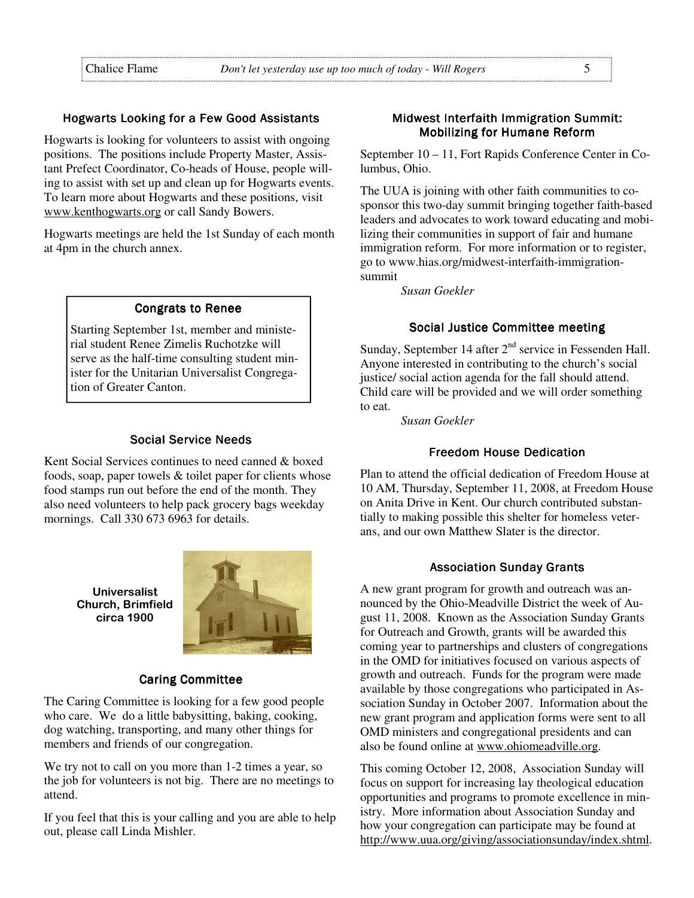#### Hogwarts Looking for a Few Good Assistants

Hogwarts is looking for volunteers to assist with ongoing positions. The positions include Property Master, Assistant Prefect Coordinator, Co-heads of House, people willing to assist with set up and clean up for Hogwarts events. To learn more about Hogwarts and these positions, visit www.kenthogwarts.org or call Sandy Bowers.

Hogwarts meetings are held the 1st Sunday of each month at 4pm in the church annex.

#### **Congrats to Renee**

Starting September 1st, member and ministerial student Renee Zimelis Ruchotzke will serve as the half-time consulting student minister for the Unitarian Universalist Congregation of Greater Canton.

#### Social Service Needs

Kent Social Services continues to need canned & boxed foods, soap, paper towels & toilet paper for clients whose food stamps run out before the end of the month. They also need volunteers to help pack grocery bags weekday mornings. Call 330 673 6963 for details.

> Universalist Church, Brimfield circa 1900



#### Caring Committee

The Caring Committee is looking for a few good people who care. We do a little babysitting, baking, cooking, dog watching, transporting, and many other things for members and friends of our congregation.

We try not to call on you more than 1-2 times a year, so the job for volunteers is not big. There are no meetings to attend.

If you feel that this is your calling and you are able to help out, please call Linda Mishler.

#### Midwest Interfaith Immigration Summit: **Mobilizing for Humane Reform**

September 10 – 11, Fort Rapids Conference Center in Columbus, Ohio.

The UUA is joining with other faith communities to cosponsor this two-day summit bringing together faith-based leaders and advocates to work toward educating and mobilizing their communities in support of fair and humane immigration reform. For more information or to register, go to www.hias.org/midwest-interfaith-immigrationsummit

*Susan Goekler*

#### Social Justice Committee meeting

Sunday, September 14 after  $2<sup>nd</sup>$  service in Fessenden Hall. Anyone interested in contributing to the church's social justice/ social action agenda for the fall should attend. Child care will be provided and we will order something to eat.

*Susan Goekler* 

#### **Freedom House Dedication**

Plan to attend the official dedication of Freedom House at 10 AM, Thursday, September 11, 2008, at Freedom House on Anita Drive in Kent. Our church contributed substantially to making possible this shelter for homeless veterans, and our own Matthew Slater is the director.

#### Association Sunday Grants

A new grant program for growth and outreach was announced by the Ohio-Meadville District the week of August 11, 2008. Known as the Association Sunday Grants for Outreach and Growth, grants will be awarded this coming year to partnerships and clusters of congregations in the OMD for initiatives focused on various aspects of growth and outreach. Funds for the program were made available by those congregations who participated in Association Sunday in October 2007. Information about the new grant program and application forms were sent to all OMD ministers and congregational presidents and can also be found online at www.ohiomeadville.org.

This coming October 12, 2008, Association Sunday will focus on support for increasing lay theological education opportunities and programs to promote excellence in ministry. More information about Association Sunday and how your congregation can participate may be found at http://www.uua.org/giving/associationsunday/index.shtml.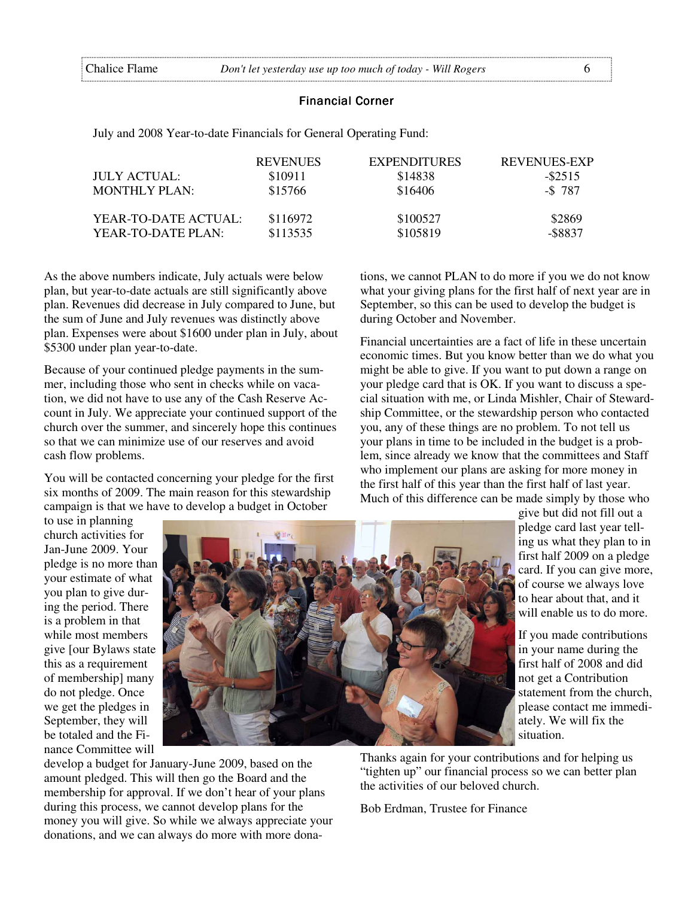#### Financial Corner

July and 2008 Year-to-date Financials for General Operating Fund:

|                      | <b>REVENUES</b> | <b>EXPENDITURES</b> | REVENUES-EXP |
|----------------------|-----------------|---------------------|--------------|
| JULY ACTUAL:         | \$10911         | \$14838             | $-$ \$2515   |
| <b>MONTHLY PLAN:</b> | \$15766         | \$16406             | $-$ \$787    |
| YEAR-TO-DATE ACTUAL: | \$116972        | \$100527            | \$2869       |
| YEAR-TO-DATE PLAN:   | \$113535        | \$105819            | -\$8837      |

As the above numbers indicate, July actuals were below plan, but year-to-date actuals are still significantly above plan. Revenues did decrease in July compared to June, but the sum of June and July revenues was distinctly above plan. Expenses were about \$1600 under plan in July, about \$5300 under plan year-to-date.

Because of your continued pledge payments in the summer, including those who sent in checks while on vacation, we did not have to use any of the Cash Reserve Account in July. We appreciate your continued support of the church over the summer, and sincerely hope this continues so that we can minimize use of our reserves and avoid cash flow problems.

You will be contacted concerning your pledge for the first six months of 2009. The main reason for this stewardship campaign is that we have to develop a budget in October

tions, we cannot PLAN to do more if you we do not know what your giving plans for the first half of next year are in September, so this can be used to develop the budget is during October and November.

Financial uncertainties are a fact of life in these uncertain economic times. But you know better than we do what you might be able to give. If you want to put down a range on your pledge card that is OK. If you want to discuss a special situation with me, or Linda Mishler, Chair of Stewardship Committee, or the stewardship person who contacted you, any of these things are no problem. To not tell us your plans in time to be included in the budget is a problem, since already we know that the committees and Staff who implement our plans are asking for more money in the first half of this year than the first half of last year. Much of this difference can be made simply by those who

to use in planning church activities for Jan-June 2009. Your pledge is no more than your estimate of what you plan to give during the period. There is a problem in that while most members give [our Bylaws state this as a requirement of membership] many do not pledge. Once we get the pledges in September, they will be totaled and the Finance Committee will



develop a budget for January-June 2009, based on the amount pledged. This will then go the Board and the membership for approval. If we don't hear of your plans during this process, we cannot develop plans for the money you will give. So while we always appreciate your donations, and we can always do more with more donagive but did not fill out a pledge card last year telling us what they plan to in first half 2009 on a pledge card. If you can give more, of course we always love to hear about that, and it will enable us to do more.

If you made contributions in your name during the first half of 2008 and did not get a Contribution statement from the church, please contact me immediately. We will fix the situation.

Thanks again for your contributions and for helping us "tighten up" our financial process so we can better plan the activities of our beloved church.

Bob Erdman, Trustee for Finance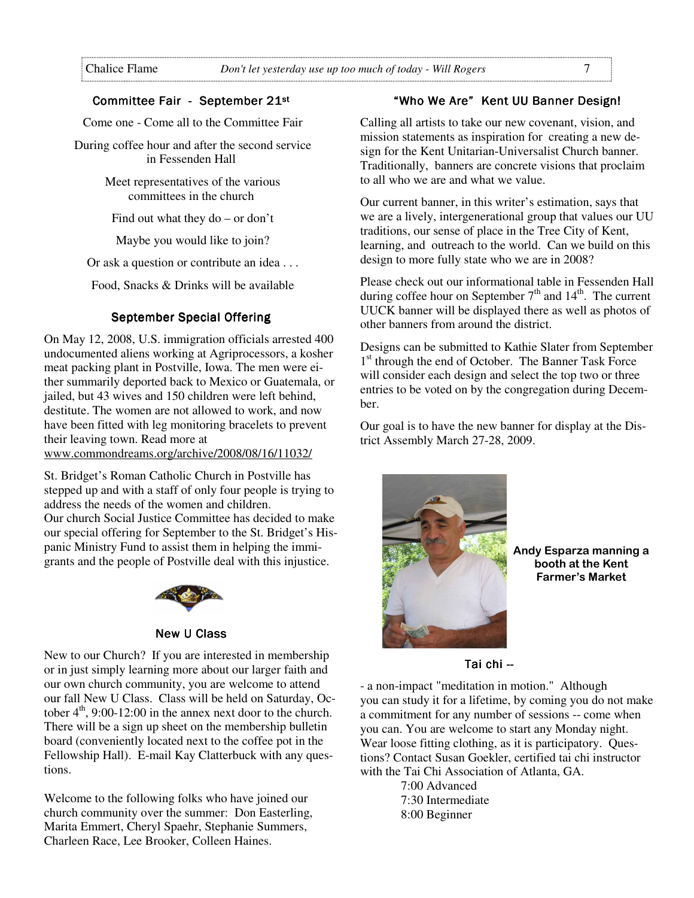#### Committee Fair - September 21st

Come one - Come all to the Committee Fair

 During coffee hour and after the second service in Fessenden Hall

> Meet representatives of the various committees in the church

Find out what they do – or don't

Maybe you would like to join?

Or ask a question or contribute an idea . . .

Food, Snacks & Drinks will be available

#### September Special Offering

On May 12, 2008, U.S. immigration officials arrested 400 undocumented aliens working at Agriprocessors, a kosher meat packing plant in Postville, Iowa. The men were either summarily deported back to Mexico or Guatemala, or jailed, but 43 wives and 150 children were left behind, destitute. The women are not allowed to work, and now have been fitted with leg monitoring bracelets to prevent their leaving town. Read more at www.commondreams.org/archive/2008/08/16/11032/

St. Bridget's Roman Catholic Church in Postville has stepped up and with a staff of only four people is trying to address the needs of the women and children. Our church Social Justice Committee has decided to make our special offering for September to the St. Bridget's Hispanic Ministry Fund to assist them in helping the immigrants and the people of Postville deal with this injustice.



#### **New U Class**

New to our Church? If you are interested in membership or in just simply learning more about our larger faith and our own church community, you are welcome to attend our fall New U Class. Class will be held on Saturday, October  $4<sup>th</sup>$ , 9:00-12:00 in the annex next door to the church. There will be a sign up sheet on the membership bulletin board (conveniently located next to the coffee pot in the Fellowship Hall). E-mail Kay Clatterbuck with any questions.

Welcome to the following folks who have joined our church community over the summer: Don Easterling, Marita Emmert, Cheryl Spaehr, Stephanie Summers, Charleen Race, Lee Brooker, Colleen Haines.

### "Who We Are" Kent UU Banner Design!

Calling all artists to take our new covenant, vision, and mission statements as inspiration for creating a new design for the Kent Unitarian-Universalist Church banner. Traditionally, banners are concrete visions that proclaim to all who we are and what we value.

Our current banner, in this writer's estimation, says that we are a lively, intergenerational group that values our UU traditions, our sense of place in the Tree City of Kent, learning, and outreach to the world. Can we build on this design to more fully state who we are in 2008?

Please check out our informational table in Fessenden Hall during coffee hour on September  $7<sup>th</sup>$  and  $14<sup>th</sup>$ . The current UUCK banner will be displayed there as well as photos of other banners from around the district.

Designs can be submitted to Kathie Slater from September 1<sup>st</sup> through the end of October. The Banner Task Force will consider each design and select the top two or three entries to be voted on by the congregation during December.

Our goal is to have the new banner for display at the District Assembly March 27-28, 2009.



Andy Esparza manning a booth at the Kent Farmer's Market

#### Tai chi --

- a non-impact "meditation in motion." Although you can study it for a lifetime, by coming you do not make a commitment for any number of sessions -- come when you can. You are welcome to start any Monday night. Wear loose fitting clothing, as it is participatory. Questions? Contact Susan Goekler, certified tai chi instructor with the Tai Chi Association of Atlanta, GA.

> 7:00 Advanced 7:30 Intermediate 8:00 Beginner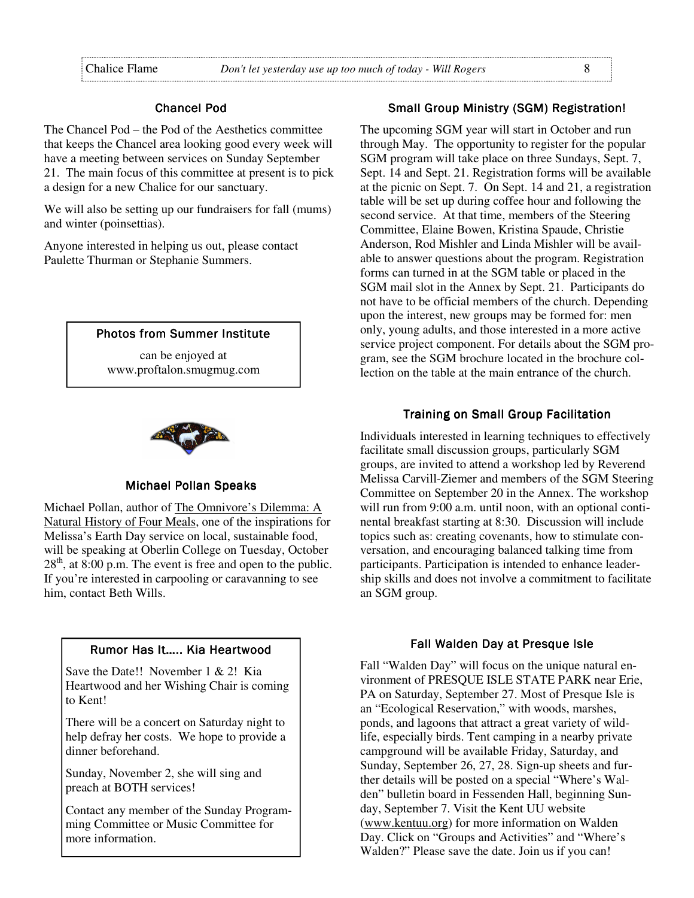#### Chancel Pod

The Chancel Pod – the Pod of the Aesthetics committee that keeps the Chancel area looking good every week will have a meeting between services on Sunday September 21. The main focus of this committee at present is to pick a design for a new Chalice for our sanctuary.

We will also be setting up our fundraisers for fall (mums) and winter (poinsettias).

Anyone interested in helping us out, please contact Paulette Thurman or Stephanie Summers.

#### **Photos from Summer Institute**

can be enjoyed at www.proftalon.smugmug.com



#### **Michael Pollan Speaks**

Michael Pollan, author of The Omnivore's Dilemma: A Natural History of Four Meals, one of the inspirations for Melissa's Earth Day service on local, sustainable food, will be speaking at Oberlin College on Tuesday, October  $28<sup>th</sup>$ , at  $8:00$  p.m. The event is free and open to the public. If you're interested in carpooling or caravanning to see him, contact Beth Wills.

## Rumor Has It..... Kia Heartwood Save the Date!! November 1 & 2! Kia

Heartwood and her Wishing Chair is coming to Kent!

There will be a concert on Saturday night to help defray her costs. We hope to provide a dinner beforehand.

Sunday, November 2, she will sing and preach at BOTH services!

Contact any member of the Sunday Programming Committee or Music Committee for more information.

#### Small Group Ministry (SGM) Registration!

The upcoming SGM year will start in October and run through May. The opportunity to register for the popular SGM program will take place on three Sundays, Sept. 7, Sept. 14 and Sept. 21. Registration forms will be available at the picnic on Sept. 7. On Sept. 14 and 21, a registration table will be set up during coffee hour and following the second service. At that time, members of the Steering Committee, Elaine Bowen, Kristina Spaude, Christie Anderson, Rod Mishler and Linda Mishler will be available to answer questions about the program. Registration forms can turned in at the SGM table or placed in the SGM mail slot in the Annex by Sept. 21. Participants do not have to be official members of the church. Depending upon the interest, new groups may be formed for: men only, young adults, and those interested in a more active service project component. For details about the SGM program, see the SGM brochure located in the brochure collection on the table at the main entrance of the church.

#### Training on Small Group Facilitation

Individuals interested in learning techniques to effectively facilitate small discussion groups, particularly SGM groups, are invited to attend a workshop led by Reverend Melissa Carvill-Ziemer and members of the SGM Steering Committee on September 20 in the Annex. The workshop will run from 9:00 a.m. until noon, with an optional continental breakfast starting at 8:30. Discussion will include topics such as: creating covenants, how to stimulate conversation, and encouraging balanced talking time from participants. Participation is intended to enhance leadership skills and does not involve a commitment to facilitate an SGM group.

#### Fall Walden Day at Presque Isle

Fall "Walden Day" will focus on the unique natural environment of PRESQUE ISLE STATE PARK near Erie, PA on Saturday, September 27. Most of Presque Isle is an "Ecological Reservation," with woods, marshes, ponds, and lagoons that attract a great variety of wildlife, especially birds. Tent camping in a nearby private campground will be available Friday, Saturday, and Sunday, September 26, 27, 28. Sign-up sheets and further details will be posted on a special "Where's Walden" bulletin board in Fessenden Hall, beginning Sunday, September 7. Visit the Kent UU website (www.kentuu.org) for more information on Walden Day. Click on "Groups and Activities" and "Where's Walden?" Please save the date. Join us if you can!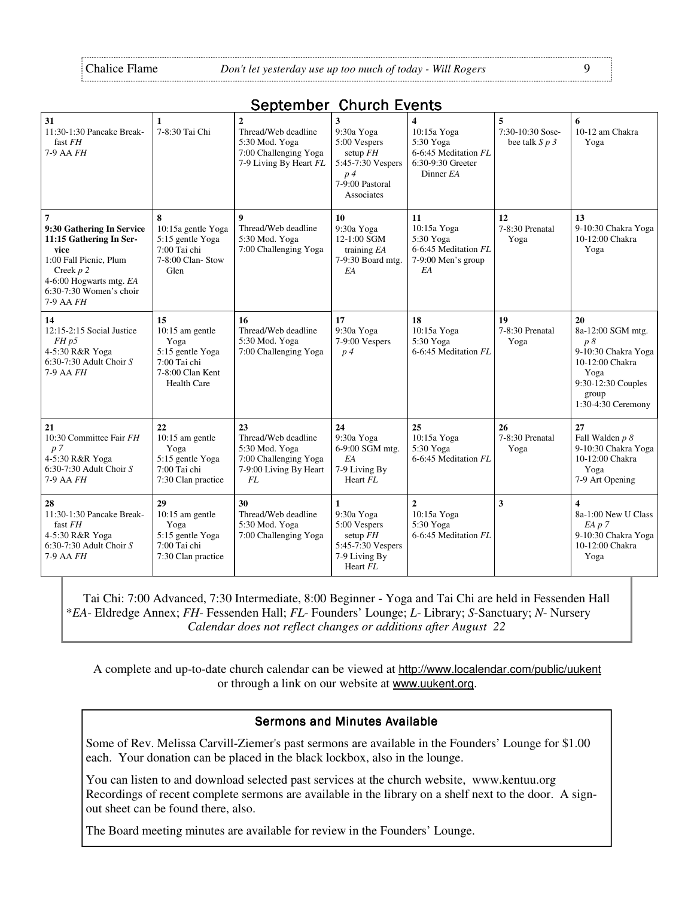| 31<br>11:30-1:30 Pancake Break-<br>fast FH<br>7-9 AA FH                                                                                                                    | 1<br>7-8:30 Tai Chi                                                                                           | $\overline{2}$<br>Thread/Web deadline<br>5:30 Mod. Yoga<br>7:00 Challenging Yoga<br>7-9 Living By Heart FL | 3<br>9:30a Yoga<br>5:00 Vespers<br>setup $FH$<br>5:45-7:30 Vespers<br>$p\neq$<br>7-9:00 Pastoral<br>Associates | $\overline{\mathbf{4}}$<br>10:15a Yoga<br>5:30 Yoga<br>6-6:45 Meditation FL<br>6:30-9:30 Greeter<br>Dinner EA | 5<br>7:30-10:30 Sose-<br>bee talk $S$ $p$ $3$ | 6<br>10-12 am Chakra<br>Yoga                                                                                                         |
|----------------------------------------------------------------------------------------------------------------------------------------------------------------------------|---------------------------------------------------------------------------------------------------------------|------------------------------------------------------------------------------------------------------------|----------------------------------------------------------------------------------------------------------------|---------------------------------------------------------------------------------------------------------------|-----------------------------------------------|--------------------------------------------------------------------------------------------------------------------------------------|
| 9:30 Gathering In Service<br>11:15 Gathering In Ser-<br>vice<br>1:00 Fall Picnic, Plum<br>Creek $p$ 2<br>4-6:00 Hogwarts mtg. EA<br>$6:30-7:30$ Women's choir<br>7-9 AA FH | 8<br>10:15a gentle Yoga<br>5:15 gentle Yoga<br>7:00 Tai chi<br>7-8:00 Clan-Stow<br>Glen                       | 9<br>Thread/Web deadline<br>5:30 Mod. Yoga<br>7:00 Challenging Yoga                                        | 10<br>9:30a Yoga<br>12-1:00 SGM<br>training $EA$<br>7-9:30 Board mtg.<br>EA                                    | 11<br>10:15a Yoga<br>5:30 Yoga<br>6-6:45 Meditation FL<br>7-9:00 Men's group<br>EA                            | 12<br>7-8:30 Prenatal<br>Yoga                 | 13<br>9-10:30 Chakra Yoga<br>10-12:00 Chakra<br>Yoga                                                                                 |
| 14<br>12:15-2:15 Social Justice<br>$FH$ $p5$<br>4-5:30 R&R Yoga<br>6:30-7:30 Adult Choir $S$<br>7-9 AA FH                                                                  | 15<br>$10:15$ am gentle<br>Yoga<br>5:15 gentle Yoga<br>7:00 Tai chi<br>7-8:00 Clan Kent<br><b>Health Care</b> | 16<br>Thread/Web deadline<br>5:30 Mod. Yoga<br>7:00 Challenging Yoga                                       | 17<br>9:30a Yoga<br>7-9:00 Vespers<br>$p\downarrow$                                                            | 18<br>10:15a Yoga<br>5:30 Yoga<br>6-6:45 Meditation FL                                                        | 19<br>7-8:30 Prenatal<br>Yoga                 | 20<br>8a-12:00 SGM mtg.<br>p8<br>9-10:30 Chakra Yoga<br>10-12:00 Chakra<br>Yoga<br>9:30-12:30 Couples<br>group<br>1:30-4:30 Ceremony |
| 21<br>10:30 Committee Fair FH<br>p <sub>7</sub><br>4-5:30 R&R Yoga<br>$6:30-7:30$ Adult Choir S<br>7-9 AA FH                                                               | 22<br>10:15 am gentle<br>Yoga<br>5:15 gentle Yoga<br>7:00 Tai chi<br>7:30 Clan practice                       | 23<br>Thread/Web deadline<br>5:30 Mod. Yoga<br>7:00 Challenging Yoga<br>7-9:00 Living By Heart<br>FL       | 24<br>9:30a Yoga<br>6-9:00 SGM mtg.<br>EA<br>7-9 Living By<br>Heart FL                                         | 25<br>10:15a Yoga<br>5:30 Yoga<br>6-6:45 Meditation FL                                                        | 26<br>7-8:30 Prenatal<br>Yoga                 | 27<br>Fall Walden p 8<br>9-10:30 Chakra Yoga<br>10-12:00 Chakra<br>Yoga<br>7-9 Art Opening                                           |
| 28<br>11:30-1:30 Pancake Break-<br>fast FH<br>4-5:30 R&R Yoga<br>6:30-7:30 Adult Choir $S$<br>7-9 AA FH                                                                    | 29<br>$10:15$ am gentle<br>Yoga<br>5:15 gentle Yoga<br>7:00 Tai chi<br>7:30 Clan practice                     | 30<br>Thread/Web deadline<br>5:30 Mod. Yoga<br>7:00 Challenging Yoga                                       | $\mathbf{1}$<br>9:30a Yoga<br>5:00 Vespers<br>setup $FH$<br>5:45-7:30 Vespers<br>7-9 Living By<br>Heart FL     | $\overline{2}$<br>10:15a Yoga<br>5:30 Yoga<br>6-6:45 Meditation FL                                            | $\overline{\mathbf{3}}$                       | $\overline{\mathbf{4}}$<br>8a-1:00 New U Class<br>$EA$ $p 7$<br>9-10:30 Chakra Yoga<br>10-12:00 Chakra<br>Yoga                       |

#### September Church Events

Tai Chi: 7:00 Advanced, 7:30 Intermediate, 8:00 Beginner - Yoga and Tai Chi are held in Fessenden Hall \**EA*- Eldredge Annex; *FH*- Fessenden Hall; *FL*- Founders' Lounge; *L*- Library; *S*-Sanctuary; *N*- Nursery *Calendar does not reflect changes or additions after August 22*

A complete and up-to-date church calendar can be viewed at http://www.localendar.com/public/uukent or through a link on our website at www.uukent.org.

#### Sermons and Minutes Available

Some of Rev. Melissa Carvill-Ziemer's past sermons are available in the Founders' Lounge for \$1.00 each. Your donation can be placed in the black lockbox, also in the lounge.

You can listen to and download selected past services at the church website, www.kentuu.org Recordings of recent complete sermons are available in the library on a shelf next to the door. A signout sheet can be found there, also.

The Board meeting minutes are available for review in the Founders' Lounge.